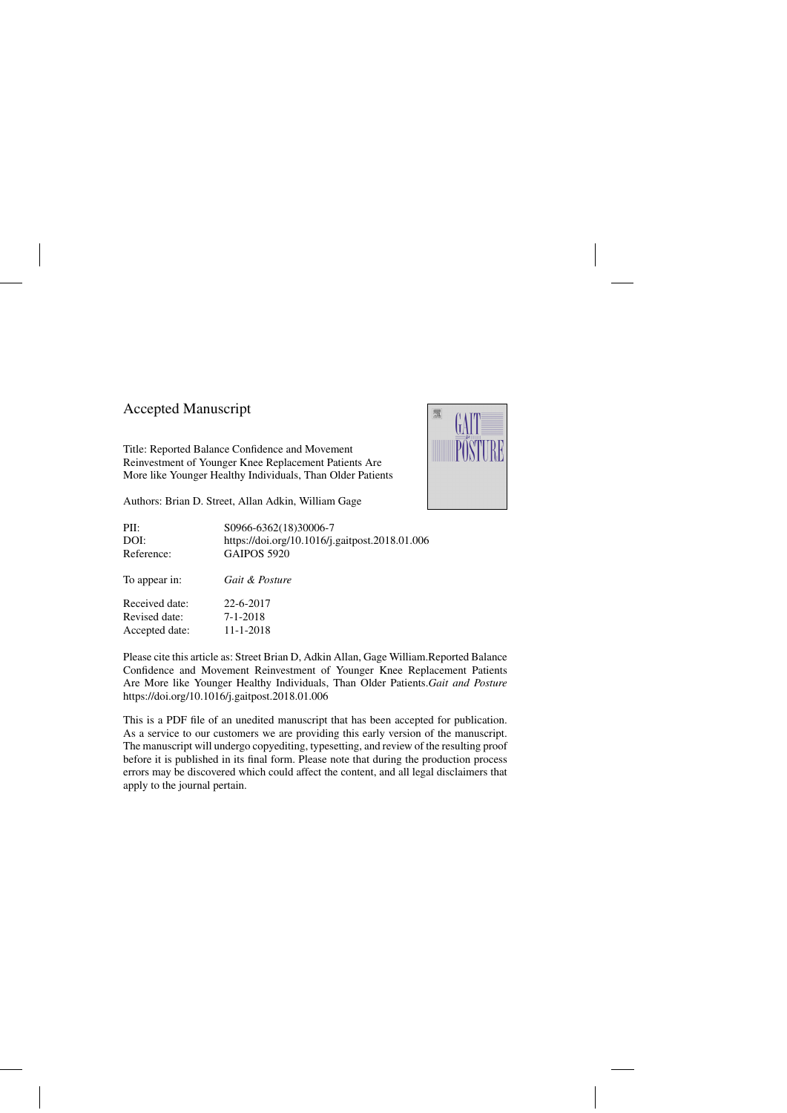# Accepted Manuscript

Title: Reported Balance Confidence and Movement Reinvestment of Younger Knee Replacement Patients Are More like Younger Healthy Individuals, Than Older Patients



Authors: Brian D. Street, Allan Adkin, William Gage

| PII:           | S0966-6362(18)30006-7                          |
|----------------|------------------------------------------------|
| DOI:           | https://doi.org/10.1016/j.gaitpost.2018.01.006 |
| Reference:     | <b>GAIPOS 5920</b>                             |
| To appear in:  | <i>Gait &amp; Posture</i>                      |
| Received date: | 22-6-2017                                      |
| Revised date:  | $7 - 1 - 2018$                                 |
| Accepted date: | 11-1-2018                                      |

Please cite this article as: Street Brian D, Adkin Allan, Gage William.Reported Balance Confidence and Movement Reinvestment of Younger Knee Replacement Patients Are More like Younger Healthy Individuals, Than Older Patients.*Gait and Posture* <https://doi.org/10.1016/j.gaitpost.2018.01.006>

This is a PDF file of an unedited manuscript that has been accepted for publication. As a service to our customers we are providing this early version of the manuscript. The manuscript will undergo copyediting, typesetting, and review of the resulting proof before it is published in its final form. Please note that during the production process errors may be discovered which could affect the content, and all legal disclaimers that apply to the journal pertain.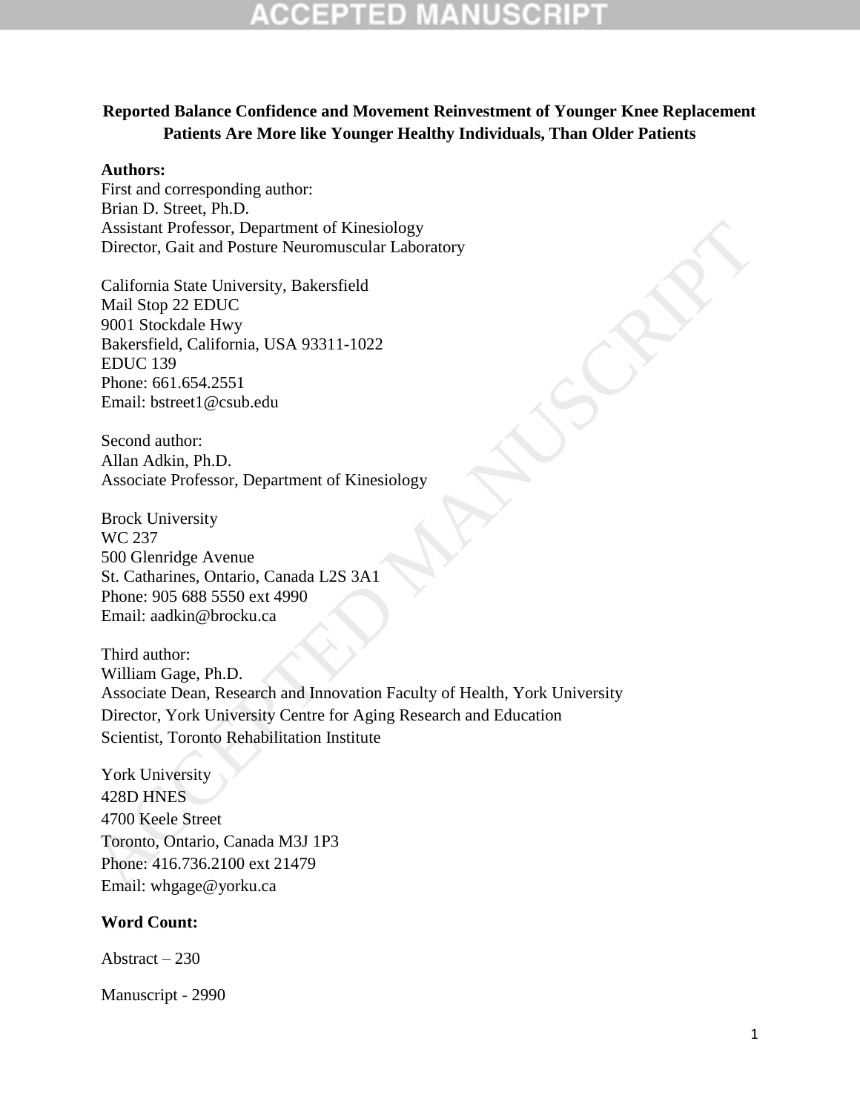## **Reported Balance Confidence and Movement Reinvestment of Younger Knee Replacement Patients Are More like Younger Healthy Individuals, Than Older Patients**

#### **Authors:**

First and corresponding author: Brian D. Street, Ph.D. Assistant Professor, Department of Kinesiology Director, Gait and Posture Neuromuscular Laboratory

California State University, Bakersfield Mail Stop 22 EDUC 9001 Stockdale Hwy Bakersfield, California, USA 93311-1022 EDUC 139 Phone: 661.654.2551 Email: bstreet1@csub.edu

Second author: Allan Adkin, Ph.D. Associate Professor, Department of Kinesiology

Brock University WC 237 500 Glenridge Avenue St. Catharines, Ontario, Canada L2S 3A1 Phone: 905 688 5550 ext 4990 Email: aadkin@brocku.ca

Third author: William Gage, Ph.D. Associate Dean, Research and Innovation Faculty of Health, York University Director, York University Centre for Aging Research and Education Scientist, Toronto Rehabilitation Institute Assistant Professor, Department of Kinesialogy<br>
Miscletor, Gait and Posture Neuromuscular Laboratory<br>
California State University, Bakersfield<br>
Mail Stop 22 EDUC<br>
1900 1 Stockdale Hwy<br>
Hatersfield, California, USA 93311-10

York University 428D HNES 4700 Keele Street Toronto, Ontario, Canada M3J 1P3 Phone: 416.736.2100 ext 21479 Email: whgage@yorku.ca

### **Word Count:**

Abstract – 230

Manuscript - 2990